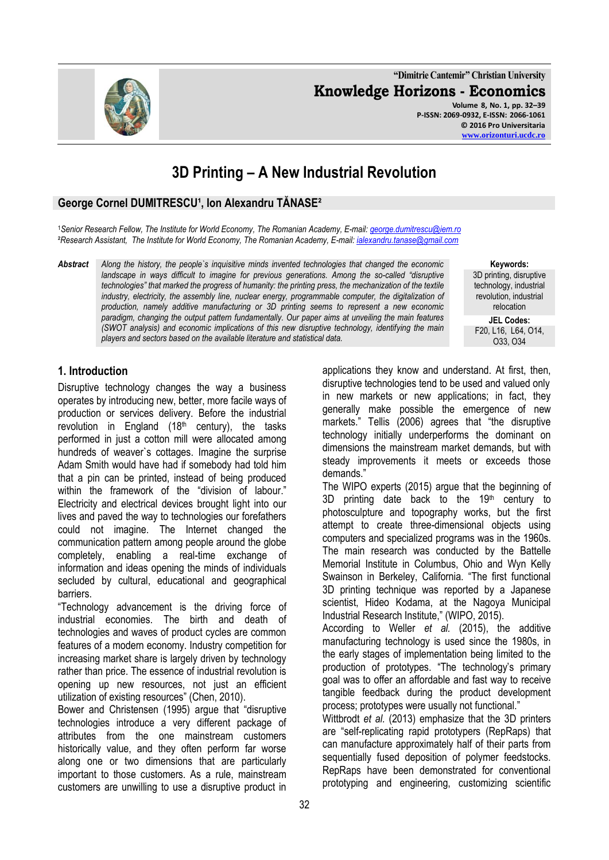**"Dimitrie Cantemir" Christian University Knowledge Horizons - Economics Volume 8, No. 1, pp. 32–39 P-ISSN: 2069-0932, E-ISSN: 2066-1061**

# **3D Printing – A New Industrial Revolution**

# **George Cornel DUMITRESCU¹, Ion Alexandru TĂNASE²**

<sup>1</sup>*Senior Research Fellow, The Institute for World Economy, The Romanian Academy, E-mail: [george.dumitrescu@iem.ro](mailto:george.dumitrescu@iem.ro)* ²*Research Assistant, The Institute for World Economy, The Romanian Academy, E-mail: [ialexandru.tanase@gmail.com](mailto:ialexandru.tanase@gmail.com)*

*Abstract Along the history, the people`s inquisitive minds invented technologies that changed the economic landscape in ways difficult to imagine for previous generations. Among the so-called "disruptive technologies" that marked the progress of humanity: the printing press, the mechanization of the textile industry, electricity, the assembly line, nuclear energy, programmable computer, the digitalization of production, namely additive manufacturing or 3D printing seems to represent a new economic paradigm, changing the output pattern fundamentally. Our paper aims at unveiling the main features (SWOT analysis) and economic implications of this new disruptive technology, identifying the main players and sectors based on the available literature and statistical data.*

**Keywords:**

3D printing, disruptive technology, industrial revolution, industrial relocation

**JEL Codes:** F20, L16, L64, O14, O33, O34

# **1. Introduction**

Disruptive technology changes the way a business operates by introducing new, better, more facile ways of production or services delivery. Before the industrial revolution in England  $(18<sup>th</sup>$  century), the tasks performed in just a cotton mill were allocated among hundreds of weaver`s cottages. Imagine the surprise Adam Smith would have had if somebody had told him that a pin can be printed, instead of being produced within the framework of the "division of labour." Electricity and electrical devices brought light into our lives and paved the way to technologies our forefathers could not imagine. The Internet changed the communication pattern among people around the globe completely, enabling a real-time exchange of information and ideas opening the minds of individuals secluded by cultural, educational and geographical barriers.

"Technology advancement is the driving force of industrial economies. The birth and death of technologies and waves of product cycles are common features of a modern economy. Industry competition for increasing market share is largely driven by technology rather than price. The essence of industrial revolution is opening up new resources, not just an efficient utilization of existing resources" (Chen, 2010).

Bower and Christensen (1995) argue that "disruptive technologies introduce a very different package of attributes from the one mainstream customers historically value, and they often perform far worse along one or two dimensions that are particularly important to those customers. As a rule, mainstream customers are unwilling to use a disruptive product in applications they know and understand. At first, then, disruptive technologies tend to be used and valued only in new markets or new applications; in fact, they generally make possible the emergence of new markets." Tellis (2006) agrees that "the disruptive technology initially underperforms the dominant on dimensions the mainstream market demands, but with steady improvements it meets or exceeds those demands."

The WIPO experts (2015) argue that the beginning of 3D printing date back to the  $19<sup>th</sup>$  century to photosculpture and topography works, but the first attempt to create three-dimensional objects using computers and specialized programs was in the 1960s. The main research was conducted by the Battelle Memorial Institute in Columbus, Ohio and Wyn Kelly Swainson in Berkeley, California. "The first functional 3D printing technique was reported by a Japanese scientist, Hideo Kodama, at the Nagoya Municipal Industrial Research Institute," (WIPO, 2015).

According to Weller *et al.* (2015), the additive manufacturing technology is used since the 1980s, in the early stages of implementation being limited to the production of prototypes. "The technology's primary goal was to offer an affordable and fast way to receive tangible feedback during the product development process; prototypes were usually not functional."

Wittbrodt *et al.* (2013) emphasize that the 3D printers are "self-replicating rapid prototypers (RepRaps) that can manufacture approximately half of their parts from sequentially fused deposition of polymer feedstocks. RepRaps have been demonstrated for conventional prototyping and engineering, customizing scientific

32

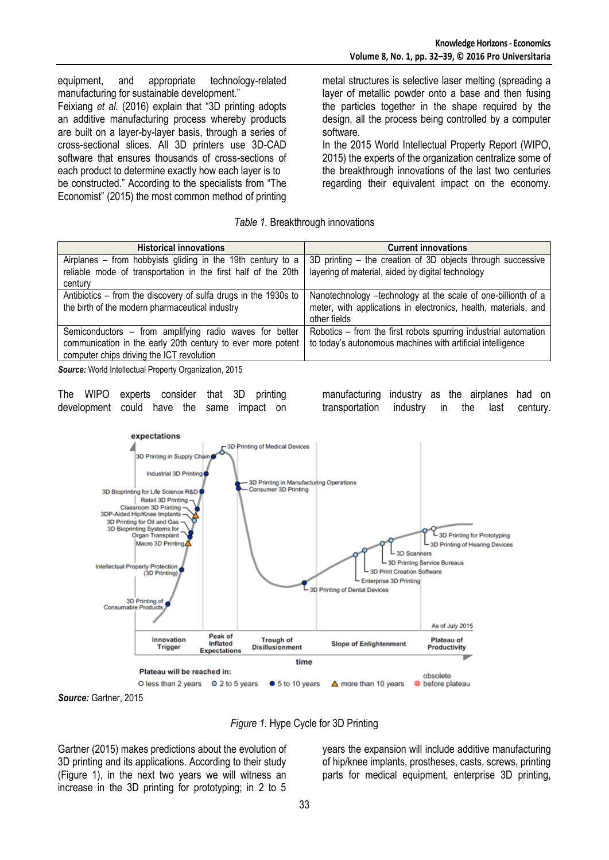equipment, and appropriate technology-related manufacturing for sustainable development."

Feixiang *et al.* (2016) explain that "3D printing adopts an additive manufacturing process whereby products are built on a layer-by-layer basis, through a series of cross-sectional slices. All 3D printers use 3D-CAD software that ensures thousands of cross-sections of each product to determine exactly how each layer is to be constructed." According to the specialists from "The Economist" (2015) the most common method of printing

metal structures is selective laser melting (spreading a layer of metallic powder onto a base and then fusing the particles together in the shape required by the design, all the process being controlled by a computer software.

In the 2015 World Intellectual Property Report (WIPO, 2015) the experts of the organization centralize some of the breakthrough innovations of the last two centuries regarding their equivalent impact on the economy.

*Table 1.* Breakthrough innovations

| <b>Historical innovations</b>                                                                                                                                       | <b>Current innovations</b>                                                                                                                         |
|---------------------------------------------------------------------------------------------------------------------------------------------------------------------|----------------------------------------------------------------------------------------------------------------------------------------------------|
| Airplanes – from hobbyists gliding in the 19th century to a<br>reliable mode of transportation in the first half of the 20th<br>century                             | 3D printing – the creation of 3D objects through successive<br>layering of material, aided by digital technology                                   |
| Antibiotics – from the discovery of sulfa drugs in the 1930s to<br>the birth of the modern pharmaceutical industry                                                  | Nanotechnology -- technology at the scale of one-billionth of a<br>meter, with applications in electronics, health, materials, and<br>other fields |
| Semiconductors - from amplifying radio waves for better<br>communication in the early 20th century to ever more potent<br>computer chips driving the ICT revolution | Robotics - from the first robots spurring industrial automation<br>to today's autonomous machines with artificial intelligence                     |
| $\bullet$ $\cdots$ $\cdots$ $\bullet$ $\bullet$ $\cdots$ $\bullet$                                                                                                  |                                                                                                                                                    |

*Source:* World Intellectual Property Organization, 2015

The WIPO experts consider that 3D printing development could have the same impact on manufacturing industry as the airplanes had on transportation industry in the last century.



*Source:* Gartner, 2015

*Figure 1.* Hype Cycle for 3D Printing

Gartner (2015) makes predictions about the evolution of 3D printing and its applications. According to their study (Figure 1), in the next two years we will witness an increase in the 3D printing for prototyping; in 2 to 5

years the expansion will include additive manufacturing of hip/knee implants, prostheses, casts, screws, printing parts for medical equipment, enterprise 3D printing,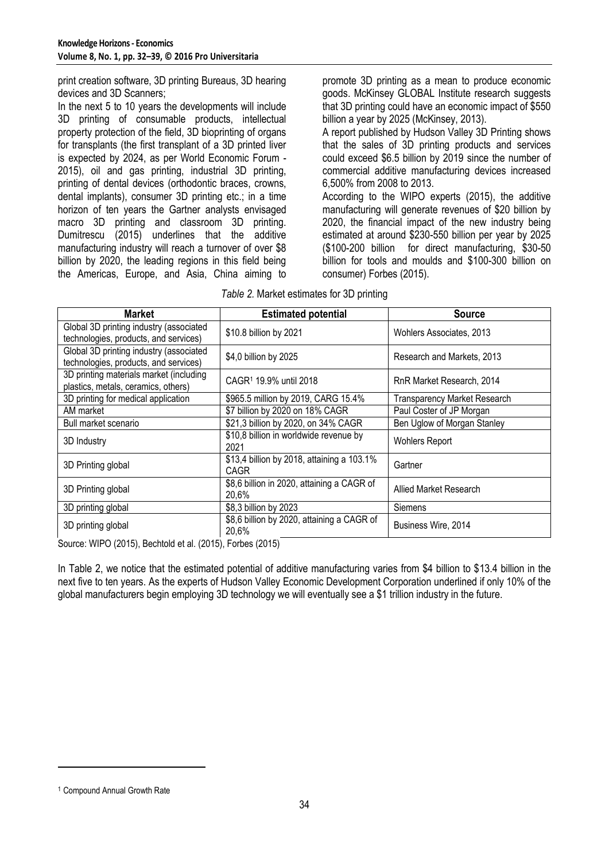print creation software, 3D printing Bureaus, 3D hearing devices and 3D Scanners;

In the next 5 to 10 years the developments will include 3D printing of consumable products, intellectual property protection of the field, 3D bioprinting of organs for transplants (the first transplant of a 3D printed liver is expected by 2024, as per World Economic Forum - 2015), oil and gas printing, industrial 3D printing, printing of dental devices (orthodontic braces, crowns, dental implants), consumer 3D printing etc.; in a time horizon of ten years the Gartner analysts envisaged macro 3D printing and classroom 3D printing. Dumitrescu (2015) underlines that the additive manufacturing industry will reach a turnover of over \$8 billion by 2020, the leading regions in this field being the Americas, Europe, and Asia, China aiming to promote 3D printing as a mean to produce economic goods. McKinsey GLOBAL Institute research suggests that 3D printing could have an economic impact of \$550 billion a year by 2025 (McKinsey, 2013).

A report published by Hudson Valley 3D Printing shows that the sales of 3D printing products and services could exceed \$6.5 billion by 2019 since the number of commercial additive manufacturing devices increased 6,500% from 2008 to 2013.

According to the WIPO experts (2015), the additive manufacturing will generate revenues of \$20 billion by 2020, the financial impact of the new industry being estimated at around \$230-550 billion per year by 2025 (\$100-200 billion for direct manufacturing, \$30-50 billion for tools and moulds and \$100-300 billion on consumer) Forbes (2015).

| Market                                                                           | <b>Estimated potential</b>                                | <b>Source</b>                       |
|----------------------------------------------------------------------------------|-----------------------------------------------------------|-------------------------------------|
| Global 3D printing industry (associated<br>technologies, products, and services) | \$10.8 billion by 2021                                    | Wohlers Associates, 2013            |
| Global 3D printing industry (associated<br>technologies, products, and services) | \$4,0 billion by 2025                                     | Research and Markets, 2013          |
| 3D printing materials market (including<br>plastics, metals, ceramics, others)   | CAGR <sup>1</sup> 19.9% until 2018                        | RnR Market Research, 2014           |
| 3D printing for medical application                                              | \$965.5 million by 2019, CARG 15.4%                       | <b>Transparency Market Research</b> |
| AM market                                                                        | \$7 billion by 2020 on 18% CAGR                           | Paul Coster of JP Morgan            |
| Bull market scenario                                                             | \$21,3 billion by 2020, on 34% CAGR                       | Ben Uglow of Morgan Stanley         |
| 3D Industry                                                                      | \$10,8 billion in worldwide revenue by<br>2021            | <b>Wohlers Report</b>               |
| 3D Printing global                                                               | \$13,4 billion by 2018, attaining a 103.1%<br><b>CAGR</b> | Gartner                             |
| 3D Printing global                                                               | \$8,6 billion in 2020, attaining a CAGR of<br>20,6%       | Allied Market Research              |
| 3D printing global                                                               | \$8,3 billion by 2023                                     | Siemens                             |
| 3D printing global                                                               | \$8,6 billion by 2020, attaining a CAGR of<br>20,6%       | Business Wire, 2014                 |

|  | Table 2. Market estimates for 3D printing |  |
|--|-------------------------------------------|--|
|  |                                           |  |

Source: WIPO (2015), Bechtold et al. (2015), Forbes (2015)

In Table 2, we notice that the estimated potential of additive manufacturing varies from \$4 billion to \$13.4 billion in the next five to ten years. As the experts of Hudson Valley Economic Development Corporation underlined if only 10% of the global manufacturers begin employing 3D technology we will eventually see a \$1 trillion industry in the future.

-

<sup>1</sup> Compound Annual Growth Rate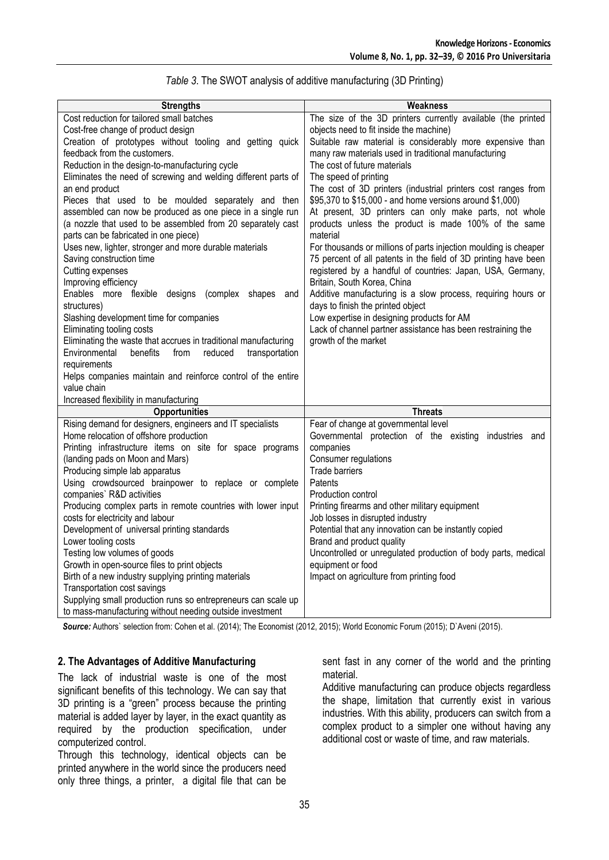|  |  | Table 3. The SWOT analysis of additive manufacturing (3D Printing) |  |
|--|--|--------------------------------------------------------------------|--|
|  |  |                                                                    |  |

| <b>Strengths</b>                                                                               | <b>Weakness</b>                                                                                         |
|------------------------------------------------------------------------------------------------|---------------------------------------------------------------------------------------------------------|
| Cost reduction for tailored small batches                                                      | The size of the 3D printers currently available (the printed<br>objects need to fit inside the machine) |
| Cost-free change of product design<br>Creation of prototypes without tooling and getting quick | Suitable raw material is considerably more expensive than                                               |
| feedback from the customers.                                                                   | many raw materials used in traditional manufacturing                                                    |
| Reduction in the design-to-manufacturing cycle                                                 | The cost of future materials                                                                            |
| Eliminates the need of screwing and welding different parts of                                 | The speed of printing                                                                                   |
| an end product                                                                                 | The cost of 3D printers (industrial printers cost ranges from                                           |
| Pieces that used to be moulded separately and then                                             | \$95,370 to \$15,000 - and home versions around \$1,000)                                                |
| assembled can now be produced as one piece in a single run                                     | At present, 3D printers can only make parts, not whole                                                  |
| (a nozzle that used to be assembled from 20 separately cast                                    | products unless the product is made 100% of the same                                                    |
| parts can be fabricated in one piece)                                                          | material                                                                                                |
| Uses new, lighter, stronger and more durable materials                                         | For thousands or millions of parts injection moulding is cheaper                                        |
| Saving construction time                                                                       | 75 percent of all patents in the field of 3D printing have been                                         |
| Cutting expenses<br>Improving efficiency                                                       | registered by a handful of countries: Japan, USA, Germany,<br>Britain, South Korea, China               |
| Enables more flexible designs<br>(complex<br>shapes<br>and                                     | Additive manufacturing is a slow process, requiring hours or                                            |
| structures)                                                                                    | days to finish the printed object                                                                       |
| Slashing development time for companies                                                        | Low expertise in designing products for AM                                                              |
| Eliminating tooling costs                                                                      | Lack of channel partner assistance has been restraining the                                             |
| Eliminating the waste that accrues in traditional manufacturing                                | growth of the market                                                                                    |
| Environmental<br>benefits<br>from<br>reduced<br>transportation                                 |                                                                                                         |
| requirements                                                                                   |                                                                                                         |
| Helps companies maintain and reinforce control of the entire                                   |                                                                                                         |
| value chain                                                                                    |                                                                                                         |
| Increased flexibility in manufacturing                                                         |                                                                                                         |
| <b>Opportunities</b><br>Rising demand for designers, engineers and IT specialists              | <b>Threats</b><br>Fear of change at governmental level                                                  |
| Home relocation of offshore production                                                         | Governmental protection of the existing industries<br>and                                               |
| Printing infrastructure items on site for space programs                                       | companies                                                                                               |
| (landing pads on Moon and Mars)                                                                | Consumer regulations                                                                                    |
| Producing simple lab apparatus                                                                 | <b>Trade barriers</b>                                                                                   |
| Using crowdsourced brainpower to replace or complete                                           | Patents                                                                                                 |
| companies' R&D activities                                                                      | Production control                                                                                      |
| Producing complex parts in remote countries with lower input                                   | Printing firearms and other military equipment                                                          |
| costs for electricity and labour                                                               | Job losses in disrupted industry                                                                        |
| Development of universal printing standards                                                    | Potential that any innovation can be instantly copied                                                   |
| Lower tooling costs                                                                            | Brand and product quality                                                                               |
| Testing low volumes of goods                                                                   | Uncontrolled or unregulated production of body parts, medical                                           |
| Growth in open-source files to print objects                                                   | equipment or food                                                                                       |
| Birth of a new industry supplying printing materials<br>Transportation cost savings            | Impact on agriculture from printing food                                                                |
| Supplying small production runs so entrepreneurs can scale up                                  |                                                                                                         |
| to mass-manufacturing without needing outside investment                                       |                                                                                                         |
|                                                                                                |                                                                                                         |

*Source:* Authors` selection from: Cohen et al. (2014); The Economist (2012, 2015); World Economic Forum (2015); D`Aveni (2015).

#### **2. The Advantages of Additive Manufacturing**

The lack of industrial waste is one of the most significant benefits of this technology. We can say that 3D printing is a "green" process because the printing material is added layer by layer, in the exact quantity as required by the production specification, under computerized control.

Through this technology, identical objects can be printed anywhere in the world since the producers need only three things, a printer, a digital file that can be

sent fast in any corner of the world and the printing material.

Additive manufacturing can produce objects regardless the shape, limitation that currently exist in various industries. With this ability, producers can switch from a complex product to a simpler one without having any additional cost or waste of time, and raw materials.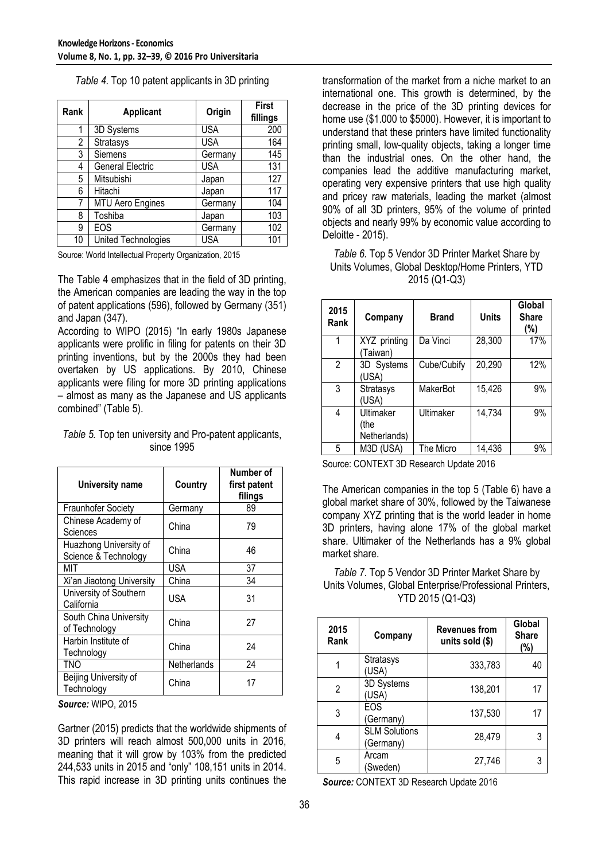|  |  |  |  | Table 4. Top 10 patent applicants in 3D printing |  |  |
|--|--|--|--|--------------------------------------------------|--|--|
|--|--|--|--|--------------------------------------------------|--|--|

| Rank | <b>Applicant</b>        | Origin     | <b>First</b><br>fillings |
|------|-------------------------|------------|--------------------------|
|      | 3D Systems              | <b>USA</b> | 200                      |
| 2    | Stratasys               | <b>USA</b> | 164                      |
| 3    | Siemens                 | Germany    | 145                      |
| 4    | <b>General Electric</b> | <b>USA</b> | 131                      |
| 5    | Mitsubishi              | Japan      | 127                      |
| 6    | Hitachi                 | Japan      | 117                      |
|      | <b>MTU Aero Engines</b> | Germany    | 104                      |
| 8    | Toshiba                 | Japan      | 103                      |
| 9    | <b>EOS</b>              | Germany    | 102                      |
| 10   | United Technologies     | <b>USA</b> | 101                      |

Source: World Intellectual Property Organization, 2015

The Table 4 emphasizes that in the field of 3D printing, the American companies are leading the way in the top of patent applications (596), followed by Germany (351) and Japan (347).

According to WIPO (2015) "In early 1980s Japanese applicants were prolific in filing for patents on their 3D printing inventions, but by the 2000s they had been overtaken by US applications. By 2010, Chinese applicants were filing for more 3D printing applications – almost as many as the Japanese and US applicants combined" (Table 5).

| Table 5. Top ten university and Pro-patent applicants, |
|--------------------------------------------------------|
| since 1995                                             |

| <b>University name</b>                         | Country     | Number of<br>first patent<br>filings |
|------------------------------------------------|-------------|--------------------------------------|
| Fraunhofer Society                             | Germany     | 89                                   |
| Chinese Academy of<br>Sciences                 | China       | 79                                   |
| Huazhong University of<br>Science & Technology | China       | 46                                   |
| MIT                                            | USA         | 37                                   |
| Xi'an Jiaotong University                      | China       | 34                                   |
| University of Southern<br>California           | <b>USA</b>  | 31                                   |
| South China University<br>of Technology        | China       | 27                                   |
| Harbin Institute of<br>Technology              | China       | 24                                   |
| TNO                                            | Netherlands | 24                                   |
| Beijing University of<br>Technology            | China       | 17                                   |

*Source:* WIPO, 2015

Gartner (2015) predicts that the worldwide shipments of 3D printers will reach almost 500,000 units in 2016, meaning that it will grow by 103% from the predicted 244,533 units in 2015 and "only" 108,151 units in 2014. This rapid increase in 3D printing units continues the

transformation of the market from a niche market to an international one. This growth is determined, by the decrease in the price of the 3D printing devices for home use (\$1.000 to \$5000). However, it is important to understand that these printers have limited functionality printing small, low-quality objects, taking a longer time than the industrial ones. On the other hand, the companies lead the additive manufacturing market, operating very expensive printers that use high quality and pricey raw materials, leading the market (almost 90% of all 3D printers, 95% of the volume of printed objects and nearly 99% by economic value according to Deloitte - 2015).

| Table 6. Top 5 Vendor 3D Printer Market Share by |
|--------------------------------------------------|
| Units Volumes, Global Desktop/Home Printers, YTD |
| 2015 (Q1-Q3)                                     |

| 2015<br>Rank | Company                           | <b>Brand</b> | <b>Units</b> | Global<br><b>Share</b><br>(%) |
|--------------|-----------------------------------|--------------|--------------|-------------------------------|
| 1            | XYZ printing<br>(Taiwan)          | Da Vinci     | 28,300       | 17%                           |
| 2            | 3D Systems<br>(USA)               | Cube/Cubify  | 20,290       | 12%                           |
| 3            | Stratasys<br>(USA)                | MakerBot     | 15,426       | 9%                            |
| 4            | Ultimaker<br>(the<br>Netherlands) | Ultimaker    | 14,734       | 9%                            |
| 5            | M3D (USA)                         | The Micro    | 14,436       | 9%                            |

Source: CONTEXT 3D Research Update 2016

The American companies in the top 5 (Table 6) have a global market share of 30%, followed by the Taiwanese company XYZ printing that is the world leader in home 3D printers, having alone 17% of the global market share. Ultimaker of the Netherlands has a 9% global market share.

*Table 7*. Top 5 Vendor 3D Printer Market Share by Units Volumes, Global Enterprise/Professional Printers, YTD 2015 (Q1-Q3)

| 2015<br>Rank | Company                           | <b>Revenues from</b><br>units sold (\$) | Global<br><b>Share</b><br>$(\%)$ |
|--------------|-----------------------------------|-----------------------------------------|----------------------------------|
|              | Stratasys<br>(USA)                | 333,783                                 | 40                               |
| 2            | 3D Systems<br>(USA)               | 138,201                                 | 17                               |
| 3            | EOS<br>(Germany)                  | 137,530                                 | 17                               |
|              | <b>SLM Solutions</b><br>(Germany) | 28,479                                  | 3                                |
| 5            | Arcam<br>Sweden)                  | 27,746                                  | 3                                |

*Source:* CONTEXT 3D Research Update 2016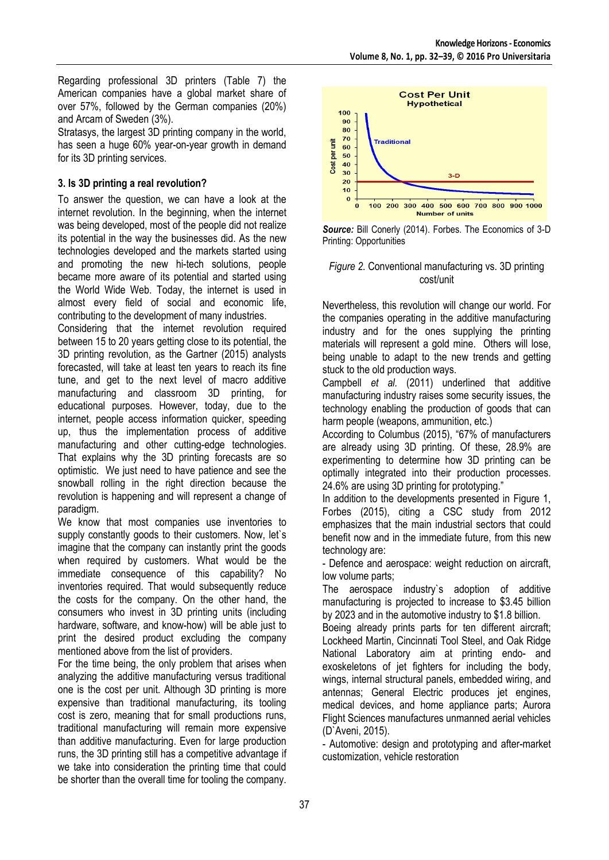Regarding professional 3D printers (Table 7) the American companies have a global market share of over 57%, followed by the German companies (20%) and Arcam of Sweden (3%).

Stratasys, the largest 3D printing company in the world, has seen a huge 60% year-on-year growth in demand for its 3D printing services.

# **3. Is 3D printing a real revolution?**

To answer the question, we can have a look at the internet revolution. In the beginning, when the internet was being developed, most of the people did not realize its potential in the way the businesses did. As the new technologies developed and the markets started using and promoting the new hi-tech solutions, people became more aware of its potential and started using the World Wide Web. Today, the internet is used in almost every field of social and economic life, contributing to the development of many industries.

Considering that the internet revolution required between 15 to 20 years getting close to its potential, the 3D printing revolution, as the Gartner (2015) analysts forecasted, will take at least ten years to reach its fine tune, and get to the next level of macro additive manufacturing and classroom 3D printing, for educational purposes. However, today, due to the internet, people access information quicker, speeding up, thus the implementation process of additive manufacturing and other cutting-edge technologies. That explains why the 3D printing forecasts are so optimistic. We just need to have patience and see the snowball rolling in the right direction because the revolution is happening and will represent a change of paradigm.

We know that most companies use inventories to supply constantly goods to their customers. Now, let's imagine that the company can instantly print the goods when required by customers. What would be the immediate consequence of this capability? No inventories required. That would subsequently reduce the costs for the company. On the other hand, the consumers who invest in 3D printing units (including hardware, software, and know-how) will be able just to print the desired product excluding the company mentioned above from the list of providers.

For the time being, the only problem that arises when analyzing the additive manufacturing versus traditional one is the cost per unit. Although 3D printing is more expensive than traditional manufacturing, its tooling cost is zero, meaning that for small productions runs, traditional manufacturing will remain more expensive than additive manufacturing. Even for large production runs, the 3D printing still has a competitive advantage if we take into consideration the printing time that could be shorter than the overall time for tooling the company.



*Source:* Bill Conerly (2014). Forbes. The Economics of 3-D Printing: Opportunities

#### *Figure 2.* Conventional manufacturing vs. 3D printing cost/unit

Nevertheless, this revolution will change our world. For the companies operating in the additive manufacturing industry and for the ones supplying the printing materials will represent a gold mine. Others will lose, being unable to adapt to the new trends and getting stuck to the old production ways.

Campbell *et al.* (2011) underlined that additive manufacturing industry raises some security issues, the technology enabling the production of goods that can harm people (weapons, ammunition, etc.)

According to Columbus (2015), "67% of manufacturers are already using 3D printing. Of these, 28.9% are experimenting to determine how 3D printing can be optimally integrated into their production processes. 24.6% are using 3D printing for prototyping."

In addition to the developments presented in Figure 1, Forbes (2015), citing a CSC study from 2012 emphasizes that the main industrial sectors that could benefit now and in the immediate future, from this new technology are:

- Defence and aerospace: weight reduction on aircraft, low volume parts;

The aerospace industry`s adoption of additive manufacturing is projected to increase to \$3.45 billion by 2023 and in the automotive industry to \$1.8 billion.

Boeing already prints parts for ten different aircraft; Lockheed Martin, Cincinnati Tool Steel, and Oak Ridge National Laboratory aim at printing endo- and exoskeletons of jet fighters for including the body, wings, internal structural panels, embedded wiring, and antennas; General Electric produces jet engines, medical devices, and home appliance parts; Aurora Flight Sciences manufactures unmanned aerial vehicles (D`Aveni, 2015).

- Automotive: design and prototyping and after-market customization, vehicle restoration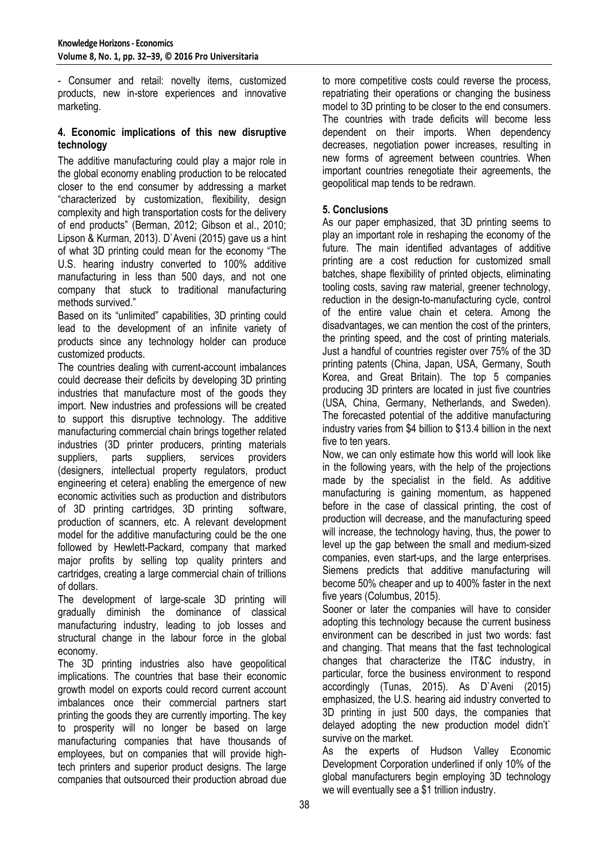- Consumer and retail: novelty items, customized products, new in-store experiences and innovative marketing.

## **4. Economic implications of this new disruptive technology**

The additive manufacturing could play a major role in the global economy enabling production to be relocated closer to the end consumer by addressing a market "characterized by customization, flexibility, design complexity and high transportation costs for the delivery of end products" (Berman, 2012; Gibson et al., 2010; Lipson & Kurman, 2013). D`Aveni (2015) gave us a hint of what 3D printing could mean for the economy "The U.S. hearing industry converted to 100% additive manufacturing in less than 500 days, and not one company that stuck to traditional manufacturing methods survived."

Based on its "unlimited" capabilities, 3D printing could lead to the development of an infinite variety of products since any technology holder can produce customized products.

The countries dealing with current-account imbalances could decrease their deficits by developing 3D printing industries that manufacture most of the goods they import. New industries and professions will be created to support this disruptive technology. The additive manufacturing commercial chain brings together related industries (3D printer producers, printing materials suppliers, parts suppliers, services providers (designers, intellectual property regulators, product engineering et cetera) enabling the emergence of new economic activities such as production and distributors of 3D printing cartridges, 3D printing software, production of scanners, etc. A relevant development model for the additive manufacturing could be the one followed by Hewlett-Packard, company that marked major profits by selling top quality printers and cartridges, creating a large commercial chain of trillions of dollars.

The development of large-scale 3D printing will gradually diminish the dominance of classical manufacturing industry, leading to job losses and structural change in the labour force in the global economy.

The 3D printing industries also have geopolitical implications. The countries that base their economic growth model on exports could record current account imbalances once their commercial partners start printing the goods they are currently importing. The key to prosperity will no longer be based on large manufacturing companies that have thousands of employees, but on companies that will provide hightech printers and superior product designs. The large companies that outsourced their production abroad due to more competitive costs could reverse the process, repatriating their operations or changing the business model to 3D printing to be closer to the end consumers. The countries with trade deficits will become less dependent on their imports. When dependency decreases, negotiation power increases, resulting in new forms of agreement between countries. When important countries renegotiate their agreements, the geopolitical map tends to be redrawn.

## **5. Conclusions**

As our paper emphasized, that 3D printing seems to play an important role in reshaping the economy of the future. The main identified advantages of additive printing are a cost reduction for customized small batches, shape flexibility of printed objects, eliminating tooling costs, saving raw material, greener technology, reduction in the design-to-manufacturing cycle, control of the entire value chain et cetera. Among the disadvantages, we can mention the cost of the printers, the printing speed, and the cost of printing materials. Just a handful of countries register over 75% of the 3D printing patents (China, Japan, USA, Germany, South Korea, and Great Britain). The top 5 companies producing 3D printers are located in just five countries (USA, China, Germany, Netherlands, and Sweden). The forecasted potential of the additive manufacturing industry varies from \$4 billion to \$13.4 billion in the next five to ten years.

Now, we can only estimate how this world will look like in the following years, with the help of the projections made by the specialist in the field. As additive manufacturing is gaining momentum, as happened before in the case of classical printing, the cost of production will decrease, and the manufacturing speed will increase, the technology having, thus, the power to level up the gap between the small and medium-sized companies, even start-ups, and the large enterprises. Siemens predicts that additive manufacturing will become 50% cheaper and up to 400% faster in the next five years (Columbus, 2015).

Sooner or later the companies will have to consider adopting this technology because the current business environment can be described in just two words: fast and changing. That means that the fast technological changes that characterize the IT&C industry, in particular, force the business environment to respond accordingly (Tunas, 2015). As D`Aveni (2015) emphasized, the U.S. hearing aid industry converted to 3D printing in just 500 days, the companies that delayed adopting the new production model didn't` survive on the market.

As the experts of Hudson Valley Economic Development Corporation underlined if only 10% of the global manufacturers begin employing 3D technology we will eventually see a \$1 trillion industry.